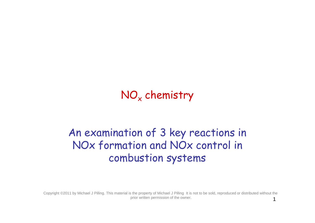# NO<sub>x</sub> chemistry

# An examination of 3 key reactions in NOx formation and NOx control in combustion systems

Copyright ©2011 by Michael J Pilling. This material is the property of Michael J Pilling It is not to be sold, reproduced or distributed without the prior written permission of the owner.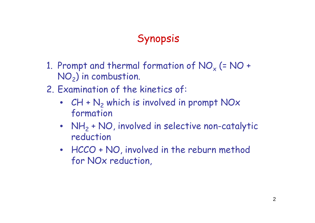# Synopsis

- 1. Prompt and thermal formation of  $NO_{x}$  (=  $NO +$  $NO<sub>2</sub>$ ) in combustion.
- 2. Examination of the kinetics of:
	- $CH + N<sub>2</sub>$  which is involved in prompt NOx formation
	- $NH_2 + NO$ , involved in selective non-catalytic reduction
	- HCCO + NO, involved in the reburn method for NOx reduction,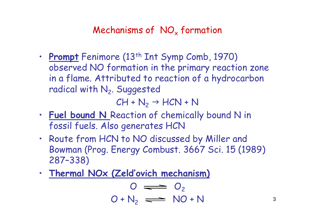## Mechanisms of  $NO<sub>x</sub>$  formation

• **Prompt** Fenimore (13<sup>th</sup> Int Symp Comb, 1970) observed NO formation in the primary reaction zone in a flame. Attributed to reaction of a hydrocarbon radical with  $\mathsf{N}_2$ . Suggested

 $CH + N_2 \rightarrow HCN + N$ 

- **Fuel bound N** Reaction of chemically bound N in fossil fuels. Also generates HCN
- Route from HCN to NO discussed by Miller and Bowman (Prog. Energy Combust. 3667 Sci. 15 (1989) 287–338)
- **Thermal NOx (Zeld'ovich mechanism)**

$$
O \implies O_2
$$
  

$$
O + N_2 \implies NO + N
$$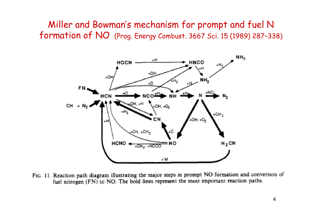Miller and Bowman's mechanism for prompt and fuel N formation of NO (Prog. Energy Combust. 3667 Sci. 15 (1989) 287–338)



FIG. 11. Reaction path diagram illustrating the major steps in prompt NO formation and conversion of fuel nitrogen (FN) to NO. The bold lines represent the most important reaction paths.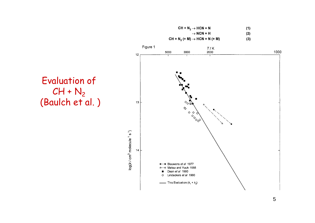

#### Figure 1  $T/K$ 2000 1000 5000 3000  $12$  $\circ$   $\circ$ 13  $\diamondsuit$ **DISCOVERED**  $log(k / cm<sup>3</sup>$  molecule  $1 s<sup>1</sup>$ )  $14$ --- Blauwens et al 1977 4 ~~ Matsui and Yuuki 1985 Dean et al 1990 Lindackers et al 1990  $\Diamond$ - This Evaluation  $(k_1 + k_2)$

Evaluation of  $CH + N<sub>2</sub>$ (Baulch et al.)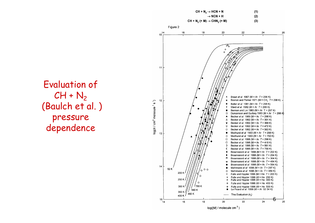

### Evaluation of  $CH + N_2$ (Baulch et al. ) pressure dependence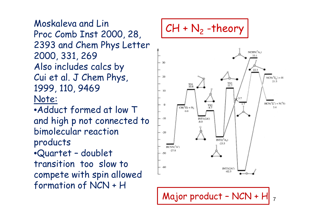Moskaleva and Lin Proc Comb Inst 2000, 28, 2393 and Chem Phys Letter 2000, 331, 269 Also includes calcs by Cui et al. J Chem Phys, 1999, 110, 9469 Note: •Adduct formed at low T and high p not connected to

bimolecular reaction products

•Quartet – doublet transition too slow to compete with spin allowed formation of NCN + H

$$
CH + N_2 - \text{theory}
$$



Major product - NCN + H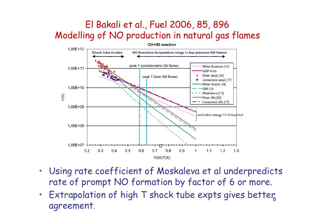## El Bakali et al., Fuel 2006, 85, 896 Modelling of NO production in natural gas flames



- Using rate coefficient of Moskaleva et al underpredicts rate of prompt NO formation by factor of 6 or more.
- Extrapolation of high T shock tube expts gives better, agreement.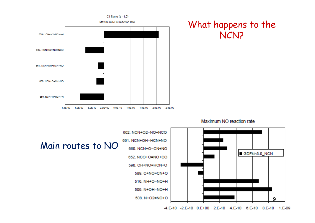

#### Maximum NO reaction rate

What happens to the

NCN?



#### Main routes to NO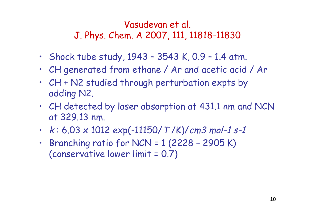## Vasudevan et al. J. Phys. Chem. A 2007, 111, 11818-11830

- Shock tube study,  $1943 3543$  K,  $0.9 1.4$  atm.
- CH generated from ethane / Ar and acetic acid / Ar
- CH + N2 studied through perturbation expts by adding N2.
- CH detected by laser absorption at 431.1 nm and NCN at 329.13 nm.
- $k: 6.03 \times 1012$  exp(-11150/T/K)/cm3 mol-1 s-1
- Branching ratio for NCN =  $1$  (2228 2905 K) (conservative lower limit = 0.7)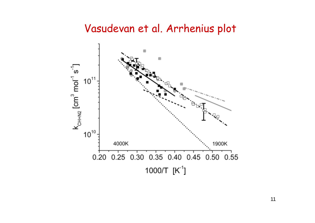# Vasudevan et al. Arrhenius plot

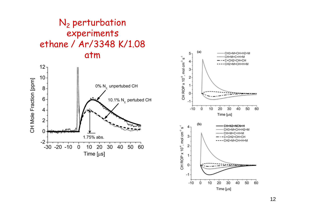### N<sub>2</sub> perturbation experiments ethane / Ar/3348 K/1.08 atm



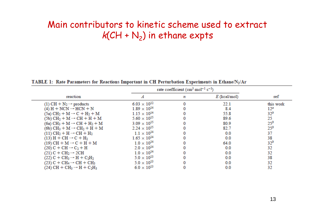## Main contributors to kinetic scheme used to extract  $\mathsf{k}( \mathsf{CH} + \mathsf{N}_2 )$  in ethane expts

|                                                                             | rate coefficient (cm <sup>3</sup> mol <sup>-1</sup> s <sup>-1</sup> ) |   |                |                 |  |
|-----------------------------------------------------------------------------|-----------------------------------------------------------------------|---|----------------|-----------------|--|
| reaction                                                                    |                                                                       | n | $E$ (kcal/mol) | ref             |  |
| (1) CH + $N_2 \rightarrow$ products                                         | $6.03 \times 10^{12}$                                                 |   | 22.1           | this work       |  |
| $(4) H + NCN \rightarrow HCN + N$                                           | $1.89 \times 10^{14}$                                                 |   | 8.4            | 12 <sup>a</sup> |  |
| $(5a) CH2 + M \rightarrow C + H2 + M$                                       | $1.15 \times 10^{14}$                                                 |   | 55.8           | 32 <sup>b</sup> |  |
| $(5b) CH2 + M \rightarrow CH + H + M$                                       | $5.60 \times 10^{15}$                                                 |   | 89.6           | 25              |  |
| $(6a) CH3 + M \rightarrow CH + H2 + M$                                      | $3.09 \times 10^{15}$                                                 |   | 80.9           | 25 <sup>b</sup> |  |
| $(6b) CH3 + M \rightarrow CH2 + H + M$                                      | $2.24 \times 10^{15}$                                                 |   | 82.7           | 25 <sup>b</sup> |  |
| $(11)$ CH <sub>2</sub> + H $\rightarrow$ CH + H <sub>2</sub>                | $1.1 \times 10^{14}$                                                  |   | 0.0            | 37              |  |
| $(13)$ H + CH $\rightarrow$ C + H <sub>2</sub>                              | $1.65 \times 10^{14}$                                                 |   | 0.0            | 38              |  |
| $(19)$ CH + M $\rightarrow$ C + H + M                                       | $1.0 \times 10^{14}$                                                  |   | 64.0           | 32 <sup>b</sup> |  |
| $(20)$ C + CH $\rightarrow$ C <sub>2</sub> + H                              | $2.0 \times 10^{14}$                                                  |   | 0.0            | 32              |  |
| $(21)$ C + CH <sub>2</sub> $\rightarrow$ 2CH                                | $1.0 \times 10^{14}$                                                  |   | 0.0            | 32              |  |
| $(22)$ C + CH <sub>3</sub> $\rightarrow$ H + C <sub>2</sub> H <sub>2</sub>  | $5.0 \times 10^{13}$                                                  |   | 0.0            | 38              |  |
| $(23)$ C + CH <sub>4</sub> $\rightarrow$ CH + CH <sub>3</sub>               | $5.0 \times 10^{13}$                                                  |   | 0.0            | 32              |  |
| $(24)$ CH + CH <sub>3</sub> $\rightarrow$ H + C <sub>2</sub> H <sub>3</sub> | $6.0 \times 10^{13}$                                                  |   | 0.0            | 32              |  |

TABLE 1: Rate Parameters for Reactions Important in CH Perturbation Experiments in Ethane/N2/Ar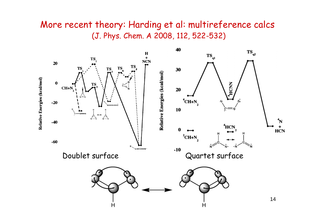#### More recent theory: Harding et al: multireference calcs (J. Phys. Chem. A 2008, 112, 522-532)

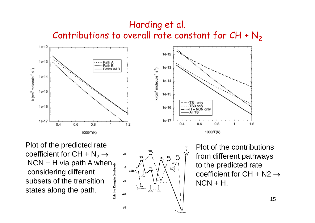## Harding et al. Contributions to overall rate constant for  $CH + N_2$





Plot of the predicted rate coefficient for CH +  $N_2 \rightarrow$ NCN + H via path A when  $\frac{1}{2}$ considering different Relative Energies (kcal/ subsets of the transition states along the path.



Plot of the contributions from different pathways to the predicted rate coefficient for CH + N2  $\rightarrow$  $NCN + H$ .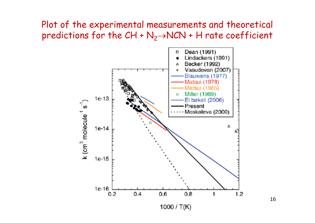#### Plot of the experimental measurements and theoretical predictions for the  $CH + N_2 \rightarrow NCN + H$  rate coefficient

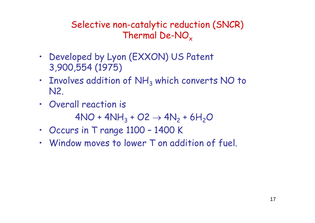Selective non-catalytic reduction (SNCR) Thermal De-NO<sub>x</sub>

- Developed by Lyon (EXXON) US Patent 3,900,554 (1975)
- Involves addition of  $NH<sub>3</sub>$  which converts NO to N2.
- Overall reaction is

 $4NO + 4NH_3 + O2 \rightarrow 4N_2 + 6H_2O$ 

- Occurs in T range 1100 1400 K
- Window moves to lower T on addition of fuel.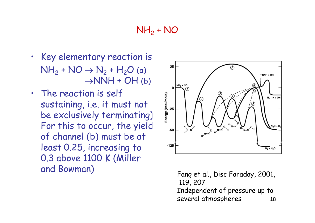## NH<sub>2</sub> + NO

- Key elementary reaction is  $NH_2 + NO \rightarrow N_2 + H_2O$  (a)  $\rightarrow$ NNH + OH (b)
- The reaction is self sustaining, i.e. it must not be exclusively terminating). For this to occur, the yield of channel (b) must be at least 0.25, increasing to 0.3 above 1100 K (Miller and Bowman) Fang et al., Disc Faraday, 2001,



119, 207 Independent of pressure up to several atmospheres 18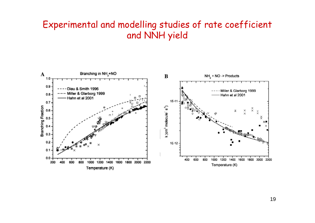#### Experimental and modelling studies of rate coefficient and NNH yield

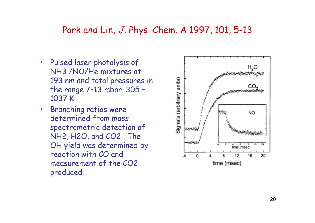#### Park and Lin, J. Phys. Chem. A 1997, 101, 5-13

- Pulsed laser photolysis of NH3 /NO/He mixtures at 193 nm and total pressures in the range 7–13 mbar. 305 – 1037 K.
- Branching ratios were determined from mass spectrometric detection of NH2, H2O, and CO2 . The OH yield was determined by reaction with CO and measurement of the CO2 produced.

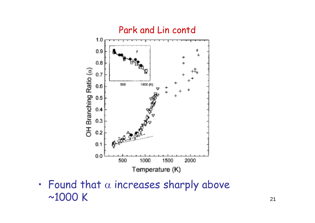

• Found that  $\alpha$  increases sharply above  $\sim$ 1000 K  $_{21}$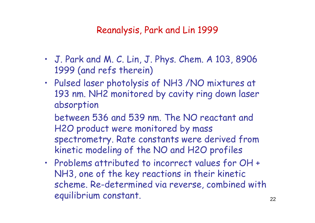Reanalysis, Park and Lin 1999

- J. Park and M. C. Lin, J. Phys. Chem. A 103, 8906 1999 (and refs therein)
- Pulsed laser photolysis of NH3 /NO mixtures at 193 nm. NH2 monitored by cavity ring down laser absorption

between 536 and 539 nm. The NO reactant and H2O product were monitored by mass spectrometry. Rate constants were derived from kinetic modeling of the NO and H2O profiles

• Problems attributed to incorrect values for OH + NH3, one of the key reactions in their kinetic scheme. Re-determined via reverse, combined with equilibrium constant. 22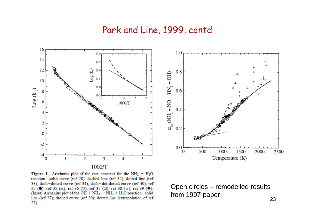#### Park and Line, 1999, contd



Figure 1. Arrehnius plot of the rate constant for the  $NH<sub>2</sub> + H<sub>2</sub>O$ reaction: solid curve (ref 28); dashed line (ref 32); dotted line (ref 33); dash-dotted curve (ref 34); dash-dot-dotted curve (ref 40); ref 27 (0); ref 35 ( $\Delta$ ); ref 36 ( $\nabla$ ); ref 37 ( $\square$ ); ref 38 ( $\times$ ); ref 39 ( $\blacklozenge$ ). (Inset) Arrhenius plot of the  $OH + NH_3 \rightarrow NH_2 + H_2O$  reaction: solid line (ref 27); dashed curve (ref 30); dotted line (extrapolation of ref  $27)$ .



Open circles – remodelled results from 1997 paper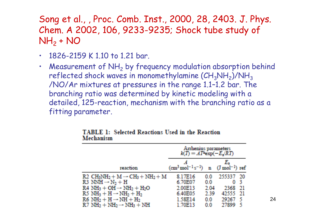## Song et al., , Proc. Comb. Inst., 2000, 28, 2403. J. Phys. Chem. A 2002, 106, 9233-9235; Shock tube study of NH<sub>2</sub> + NO

- $\cdot$  1826-2159 K 1 10 to 1 21 bar.
- Measurement of  $NH<sub>2</sub>$  by frequency modulation absorption behind reflected shock waves in monomethylamine (CH $_{3}$ NH $_{2}$ )/NH $_{3}$ /NO/Ar mixtures at pressures in the range 1.1–1.2 bar. The branching ratio was determined by kinetic modeling with a detailed, 125-reaction, mechanism with the branching ratio as a fitting parameter.

|                                                       | Arrhenius parameters<br>$k(T) = A T^{\text{new}}(-E_s/RT)$                       |      |        |      |
|-------------------------------------------------------|----------------------------------------------------------------------------------|------|--------|------|
| reaction                                              | $(\text{cm}^3 \text{mol}^{-1} \text{s}^{-1})$ n $(\text{J} \text{mol}^{-1})$ ref |      | E.     |      |
| $R2 \text{ CH}_3NH_2 + M \rightarrow CH_3 + NH_2 + M$ | 8.17E16                                                                          | 00   | 255337 | - 20 |
| $R3$ NNH $\rightarrow$ N <sub>2</sub> + H             | 6.70E07                                                                          | 00   | 0      | -3   |
| $RA NH3 + OH \rightarrow NH2 + H2O$                   | 2.00E13                                                                          | 204  | 2368   | - 21 |
| $R5 NH_3 + H \rightarrow NH_2 + H_2$                  | 6.40E05                                                                          | 2.39 | 42555  |      |
| $R6 NH2 + H \rightarrow NH + H2$                      | 1.58E14                                                                          | 0.0  | 29267  | -5   |
| $R7 NH2 + NH2 \rightarrow NH3 + NH$                   | <b>70E13</b>                                                                     | 00   | 27899  | -5   |

**TABLE 1: Selected Reactions Used in the Reaction Mechanism** 

24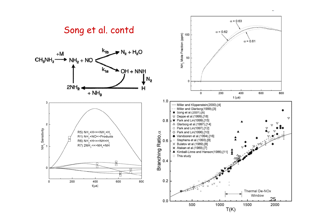

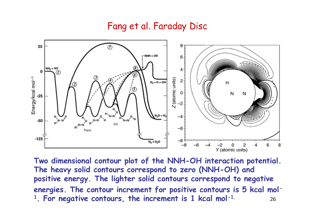#### Fang et al. Faraday Disc



**Two dimensional contour plot of the NNH-OH interaction potential. The heavy solid contours correspond to zero (NNH-OH) and positive energy. The lighter solid contours correspond to negative energies. The contour increment for positive contours is 5 kcal mol-<sup>1</sup>. For negative contours, the increment is 1 kcal mol-1.** <sup>26</sup>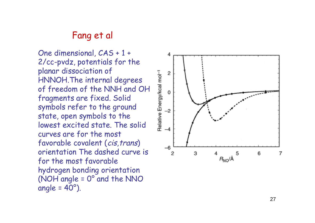#### Fang et al

One dimensional, CAS + 1 + 2/cc -pvdz, potentials for the planar dissociation of HNNOH.The internal degrees of freedom of the NNH and OH fragments are fixed. Solid symbols refer to the ground state, open symbols to the lowest excited state. The solid curves are for the most favorable covalent (cis, trans) orientation The dashed curve is for the most favorable hydrogen bonding orientation (NOH angle = 0 ° and the NNO angle = 40 °).

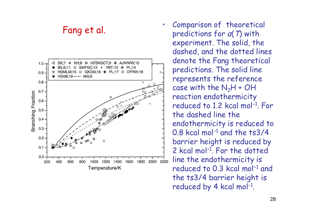#### Fang et al.



• Comparison of theoretical predictions for *a*(*T*) with experiment. The solid, the dashed, and the dotted lines denote the Fang theoretical predictions. The solid line represents the reference case with the  $N_2H$  + OH reaction endothermicity reduced to 1.2 kcal mol<sup>-1</sup>. For the dashed line the endothermicity is reduced to  $0.8$  kcal mol $^{-1}$  and the ts3/4 barrier height is reduced by 2 kcal mol<sup>-1</sup>. For the dotted line the endothermicity is reduced to 0.3 kcal mol<sup>−1</sup> and the ts3/4 barrier height is  $reduced$  by 4 kcal mol $^{-1}$ .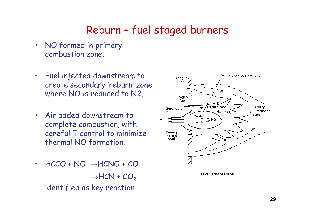# Reburn – fuel staged burners

- NO formed in primary combustion zone.
- Fuel injected downstream to create secondary 'reburn' zone where NO is reduced to N2.
- Air added downstream to complete combustion, with careful T control to minimize thermal NO formation.
- $\cdot$  HCCO + NO  $\rightarrow$  HCNO + CO  $\rightarrow$ HCN + CO<sub>2</sub> identified as key reaction



Fuel - Staged Burner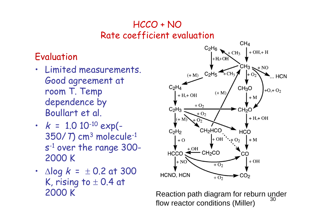## HCCO + NO Rate coefficient evaluation

## Evaluation

- Limited measurements. Good agreement at room T. Temp dependence by Boullart et al.
- $k = 1.0 10^{-10}$  exp(-350/T) cm<sup>3</sup> molecule-1 s -1 over the range 300- 2000 K
- $\Delta$ log  $k = \pm 0.2$  at 300 K, rising to  $\pm$  0.4 at



2000 K Reaction path diagram for reburn under flow reactor conditions (Miller)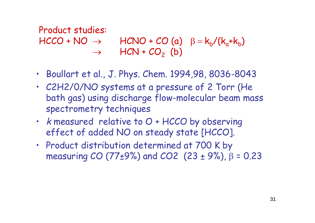## Product studies:  $HCCO + NO \rightarrow HCNO + CO (a) \beta = k_b/(k_a+k_b)$  $\rightarrow$  HCN + CO<sub>2</sub> (b)

- Boullart et al., J. Phys. Chem. 1994,98, 8036-8043
- C2H2/0/NO systems at a pressure of 2 Torr (He bath gas) using discharge flow-molecular beam mass spectrometry techniques
- k measured relative to O + HCCO by observing effect of added NO on steady state [HCCO].
- Product distribution determined at 700 K by measuring CO (77±9%) and CO2 (23 ± 9%),  $\beta$  = 0.23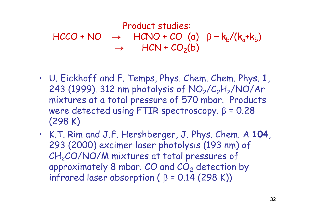# Product studies:

 $HCCO + NO \rightarrow HCNO + CO$  (a)  $\beta = k_b/(k_a+k_b)$  $\rightarrow$  HCN +  $CO<sub>2</sub>(b)$ 

- U. Eickhoff and F. Temps, Phys. Chem. Chem. Phys. **1**, 243 (1999). 312 nm photolysis of  $NO<sub>2</sub>/C<sub>2</sub>H<sub>2</sub>/NO/Ar$ mixtures at a total pressure of 570 mbar. Products were detected using FTIR spectroscopy.  $\beta = 0.28$ (298 K)
- K.T. Rim and J.F. Hershberger, J. Phys. Chem. A **104**, 293 (2000) excimer laser photolysis (193 nm) of CH<sub>2</sub>CO/NO/M mixtures at total pressures of approximately 8 mbar.  $CO$  and  $CO<sub>2</sub>$  detection by infrared laser absorption ( $\beta$  = 0.14 (298 K))